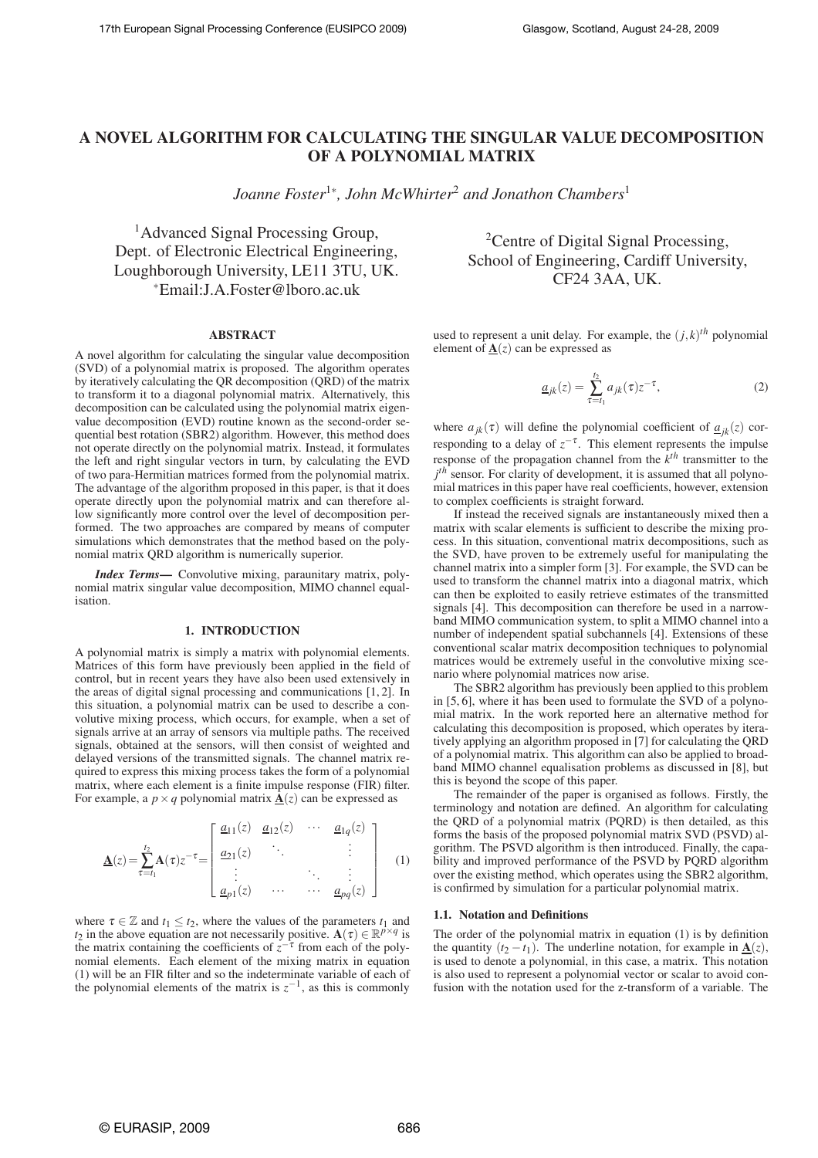# **A NOVEL ALGORITHM FOR CALCULATING THE SINGULAR VALUE DECOMPOSITION OF A POLYNOMIAL MATRIX**

*Joanne Foster*<sup>1</sup><sup>∗</sup> *, John McWhirter*<sup>2</sup> *and Jonathon Chambers*<sup>1</sup>

<sup>1</sup>Advanced Signal Processing Group, Dept. of Electronic Electrical Engineering, Loughborough University, LE11 3TU, UK. <sup>∗</sup>Email:J.A.Foster@lboro.ac.uk

# **ABSTRACT**

A novel algorithm for calculating the singular value decomposition (SVD) of a polynomial matrix is proposed. The algorithm operates by iteratively calculating the QR decomposition (QRD) of the matrix to transform it to a diagonal polynomial matrix. Alternatively, this decomposition can be calculated using the polynomial matrix eigenvalue decomposition (EVD) routine known as the second-order sequential best rotation (SBR2) algorithm. However, this method does not operate directly on the polynomial matrix. Instead, it formulates the left and right singular vectors in turn, by calculating the EVD of two para-Hermitian matrices formed from the polynomial matrix. The advantage of the algorithm proposed in this paper, is that it does operate directly upon the polynomial matrix and can therefore allow significantly more control over the level of decomposition performed. The two approaches are compared by means of computer simulations which demonstrates that the method based on the polynomial matrix QRD algorithm is numerically superior.

*Index Terms***—** Convolutive mixing, paraunitary matrix, polynomial matrix singular value decomposition, MIMO channel equalisation.

# **1. INTRODUCTION**

A polynomial matrix is simply a matrix with polynomial elements. Matrices of this form have previously been applied in the field of control, but in recent years they have also been used extensively in the areas of digital signal processing and communications [1, 2]. In this situation, a polynomial matrix can be used to describe a convolutive mixing process, which occurs, for example, when a set of signals arrive at an array of sensors via multiple paths. The received signals, obtained at the sensors, will then consist of weighted and delayed versions of the transmitted signals. The channel matrix required to express this mixing process takes the form of a polynomial matrix, where each element is a finite impulse response (FIR) filter. For example, a  $p \times q$  polynomial matrix  $\mathbf{\underline{A}}(z)$  can be expressed as

$$
\underline{\mathbf{A}}(z) = \sum_{\tau=t_1}^{t_2} \mathbf{A}(\tau) z^{-\tau} = \begin{bmatrix} \underline{a}_{11}(z) & \underline{a}_{12}(z) & \cdots & \underline{a}_{1q}(z) \\ \underline{a}_{21}(z) & \ddots & & \vdots \\ \vdots & & \ddots & \vdots \\ \underline{a}_{p1}(z) & \cdots & \cdots & \underline{a}_{pq}(z) \end{bmatrix} \tag{1}
$$

where  $\tau \in \mathbb{Z}$  and  $t_1 \leq t_2$ , where the values of the parameters  $t_1$  and *t*<sub>2</sub> in the above equation are not necessarily positive.  $\mathbf{A}(\tau) \in \mathbb{R}^{p \times q}$  is the matrix containing the coefficients of  $z^{-\tau}$  from each of the polynomial elements. Each element of the mixing matrix in equation (1) will be an FIR filter and so the indeterminate variable of each of the polynomial elements of the matrix is  $z^{-1}$ , as this is commonly

<sup>2</sup>Centre of Digital Signal Processing, School of Engineering, Cardiff University, CF24 3AA, UK.

used to represent a unit delay. For example, the  $(j, k)$ <sup>th</sup> polynomial element of  $\underline{\mathbf{A}}(z)$  can be expressed as

$$
\underline{a}_{jk}(z) = \sum_{\tau=t_1}^{t_2} a_{jk}(\tau) z^{-\tau},\tag{2}
$$

where  $a_{jk}(\tau)$  will define the polynomial coefficient of  $\underline{a}_{jk}(z)$  corresponding to a delay of  $z^{-\tau}$ . This element represents the impulse response of the propagation channel from the *k th* transmitter to the  $j<sup>th</sup>$  sensor. For clarity of development, it is assumed that all polynomial matrices in this paper have real coefficients, however, extension to complex coefficients is straight forward.

If instead the received signals are instantaneously mixed then a matrix with scalar elements is sufficient to describe the mixing process. In this situation, conventional matrix decompositions, such as the SVD, have proven to be extremely useful for manipulating the channel matrix into a simpler form [3]. For example, the SVD can be used to transform the channel matrix into a diagonal matrix, which can then be exploited to easily retrieve estimates of the transmitted signals [4]. This decomposition can therefore be used in a narrowband MIMO communication system, to split a MIMO channel into a number of independent spatial subchannels [4]. Extensions of these conventional scalar matrix decomposition techniques to polynomial matrices would be extremely useful in the convolutive mixing scenario where polynomial matrices now arise.

The SBR2 algorithm has previously been applied to this problem in [5, 6], where it has been used to formulate the SVD of a polynomial matrix. In the work reported here an alternative method for calculating this decomposition is proposed, which operates by iteratively applying an algorithm proposed in [7] for calculating the QRD of a polynomial matrix. This algorithm can also be applied to broadband MIMO channel equalisation problems as discussed in [8], but this is beyond the scope of this paper.

The remainder of the paper is organised as follows. Firstly, the terminology and notation are defined. An algorithm for calculating the QRD of a polynomial matrix (PQRD) is then detailed, as this forms the basis of the proposed polynomial matrix SVD (PSVD) algorithm. The PSVD algorithm is then introduced. Finally, the capability and improved performance of the PSVD by PQRD algorithm over the existing method, which operates using the SBR2 algorithm, is confirmed by simulation for a particular polynomial matrix.

# **1.1. Notation and Definitions**

The order of the polynomial matrix in equation (1) is by definition the quantity  $(t_2 - t_1)$ . The underline notation, for example in  $A(z)$ , is used to denote a polynomial, in this case, a matrix. This notation is also used to represent a polynomial vector or scalar to avoid confusion with the notation used for the z-transform of a variable. The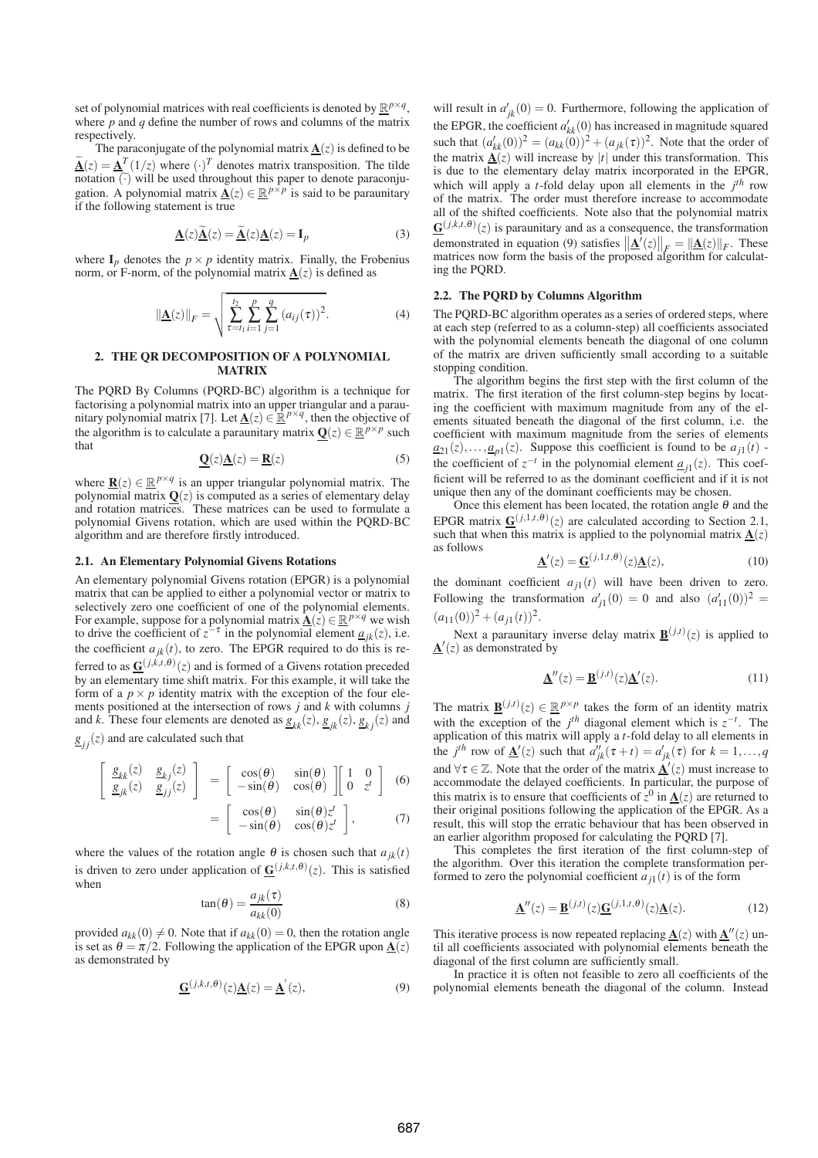set of polynomial matrices with real coefficients is denoted by  $\mathbb{R}^{p \times q}$ , where *p* and *q* define the number of rows and columns of the matrix respectively.

The paraconjugate of the polynomial matrix  $\underline{\mathbf{A}}(z)$  is defined to be  $\tilde{A}(z) = \underline{A}^T (1/z)$  where  $(\cdot)^T$  denotes matrix transposition. The tilde  $\overline{\text{notation}(\cdot)}$  will be used throughout this paper to denote paraconjugation. A polynomial matrix  $\underline{\mathbf{A}}(z) \in \mathbb{R}^{p \times p}$  is said to be paraunitary if the following statement is true

$$
\underline{\mathbf{A}}(z)\underline{\widetilde{\mathbf{A}}}(z) = \underline{\widetilde{\mathbf{A}}}(z)\underline{\mathbf{A}}(z) = \mathbf{I}_p
$$
 (3)

where  $I_p$  denotes the  $p \times p$  identity matrix. Finally, the Frobenius norm, or F-norm, of the polynomial matrix  $\underline{A}(z)$  is defined as

$$
\|\underline{\mathbf{A}}(z)\|_{F} = \sqrt{\sum_{\tau=t_1}^{t_2} \sum_{i=1}^{p} \sum_{j=1}^{q} (a_{ij}(\tau))^{2}}.
$$
 (4)

# **2. THE QR DECOMPOSITION OF A POLYNOMIAL MATRIX**

The PQRD By Columns (PQRD-BC) algorithm is a technique for factorising a polynomial matrix into an upper triangular and a paraunitary polynomial matrix [7]. Let  $\underline{\mathbf{A}}(z) \in \mathbb{R}^{p \times q}$ , then the objective of the algorithm is to calculate a paraunitary matrix  $\mathbf{Q}(z) \in \mathbb{R}^{p \times p}$  such that

$$
\underline{\mathbf{Q}}(z)\underline{\mathbf{A}}(z) = \underline{\mathbf{R}}(z)
$$
 (5)

where  $\underline{\mathbf{R}}(z) \in \mathbb{R}^{p \times q}$  is an upper triangular polynomial matrix. The polynomial matrix  $Q(z)$  is computed as a series of elementary delay and rotation matrices. These matrices can be used to formulate a polynomial Givens rotation, which are used within the PQRD-BC algorithm and are therefore firstly introduced.

### **2.1. An Elementary Polynomial Givens Rotations**

An elementary polynomial Givens rotation (EPGR) is a polynomial matrix that can be applied to either a polynomial vector or matrix to selectively zero one coefficient of one of the polynomial elements. For example, suppose for a polynomial matrix  $\underline{\mathbf{A}}(z) \in \mathbb{R}^{p \times q}$  we wish to drive the coefficient of  $z^{-\tau}$  in the polynomial element  $\underline{a}_{jk}(z)$ , i.e. the coefficient  $a_{jk}(t)$ , to zero. The EPGR required to do this is referred to as  $\underline{\mathbf{G}}^{(j,k,t,\theta)}(z)$  and is formed of a Givens rotation preceded by an elementary time shift matrix. For this example, it will take the form of a  $p \times p$  identity matrix with the exception of the four elements positioned at the intersection of rows *j* and *k* with columns *j* and *k*. These four elements are denoted as  $g_{kk}(z)$ ,  $g_{jk}(z)$ ,  $g_{kj}(z)$  and

 $g_{jj}(z)$  and are calculated such that

$$
\begin{bmatrix}\n\underline{g}_{kk}(z) & \underline{g}_{kj}(z) \\
\underline{g}_{jk}(z) & \underline{g}_{jj}(z)\n\end{bmatrix} = \begin{bmatrix}\n\cos(\theta) & \sin(\theta) \\
-\sin(\theta) & \cos(\theta)\n\end{bmatrix} \begin{bmatrix}\n1 & 0 \\
0 & z^t\n\end{bmatrix}
$$
\n(6)

$$
= \begin{bmatrix} \cos(\theta) & \sin(\theta) z^t \\ -\sin(\theta) & \cos(\theta) z^t \end{bmatrix}, \qquad (7)
$$

where the values of the rotation angle  $\theta$  is chosen such that  $a_{ik}(t)$ is driven to zero under application of  $\underline{G}^{(j,k,t,\theta)}(z)$ . This is satisfied when

$$
\tan(\theta) = \frac{a_{jk}(\tau)}{a_{kk}(0)}\tag{8}
$$

provided  $a_{kk}(0) \neq 0$ . Note that if  $a_{kk}(0) = 0$ , then the rotation angle is set as  $\theta = \pi/2$ . Following the application of the EPGR upon  $\underline{A}(z)$ as demonstrated by

$$
\underline{\mathbf{G}}^{(j,k,t,\theta)}(z)\underline{\mathbf{A}}(z) = \underline{\mathbf{A}}'(z),\tag{9}
$$

will result in  $a'_{jk}(0) = 0$ . Furthermore, following the application of the EPGR, the coefficient  $a'_{kk}(0)$  has increased in magnitude squared such that  $(a'_{kk}(0))^2 = (a_{kk}(0))^2 + (a_{jk}(\tau))^2$ . Note that the order of the matrix  $\overrightarrow{A}(z)$  will increase by |t| under this transformation. This is due to the elementary delay matrix incorporated in the EPGR, which will apply a *t*-fold delay upon all elements in the  $j<sup>th</sup>$  row of the matrix. The order must therefore increase to accommodate all of the shifted coefficients. Note also that the polynomial matrix  $\mathbf{G}^{(j,k,t,\theta)}(z)$  is paraunitary and as a consequence, the transformation demonstrated in equation (9) satisfies  $\|\underline{\mathbf{A}}^{T}(z)\|_{F} = \|\underline{\mathbf{A}}(z)\|_{F}$ . These matrices now form the basis of the proposed algorithm for calculating the PQRD.

### **2.2. The PQRD by Columns Algorithm**

The PQRD-BC algorithm operates as a series of ordered steps, where at each step (referred to as a column-step) all coefficients associated with the polynomial elements beneath the diagonal of one column of the matrix are driven sufficiently small according to a suitable stopping condition.

The algorithm begins the first step with the first column of the matrix. The first iteration of the first column-step begins by locating the coefficient with maximum magnitude from any of the elements situated beneath the diagonal of the first column, i.e. the coefficient with maximum magnitude from the series of elements  $a_{21}(z), \ldots, a_{p1}(z)$ . Suppose this coefficient is found to be  $a_{j1}(t)$  the coefficient of  $z^{-t}$  in the polynomial element  $\underline{a}_{j1}(z)$ . This coefficient will be referred to as the dominant coefficient and if it is not unique then any of the dominant coefficients may be chosen.

Once this element has been located, the rotation angle  $\theta$  and the EPGR matrix  $\underline{G}^{(j,1,t,\theta)}(z)$  are calculated according to Section 2.1, such that when this matrix is applied to the polynomial matrix  $\underline{\mathbf{A}}(z)$ as follows

$$
\underline{\mathbf{A}}'(z) = \underline{\mathbf{G}}^{(j,1,t,\theta)}(z)\underline{\mathbf{A}}(z),\tag{10}
$$

the dominant coefficient  $a_{j1}(t)$  will have been driven to zero. Following the transformation  $a'_{j1}(0) = 0$  and also  $(a'_{11}(0))^2 =$  $(a_{11}(0))^2 + (a_{j1}(t))^2$ .

Next a paraunitary inverse delay matrix  $\underline{\mathbf{B}}^{(j,t)}(z)$  is applied to  $\underline{\mathbf{A}}'(z)$  as demonstrated by

$$
\underline{\mathbf{A}}''(z) = \underline{\mathbf{B}}^{(j,t)}(z)\underline{\mathbf{A}}'(z). \tag{11}
$$

The matrix  $\underline{\mathbf{B}}^{(j,t)}(z) \in \mathbb{R}^{p \times p}$  takes the form of an identity matrix with the exception of the  $j<sup>th</sup>$  diagonal element which is  $z^{-t}$ . The application of this matrix will apply a *t*-fold delay to all elements in the *j*<sup>th</sup> row of  $\underline{A}'(z)$  such that  $a''_{jk}(\tau + t) = a'_{jk}(\tau)$  for  $k = 1, ..., q$ and  $\forall \tau \in \mathbb{Z}$ . Note that the order of the matrix  $\mathbf{A}'(z)$  must increase to accommodate the delayed coefficients. In particular, the purpose of this matrix is to ensure that coefficients of  $z^0$  in  $\underline{A}(z)$  are returned to their original positions following the application of the EPGR. As a result, this will stop the erratic behaviour that has been observed in an earlier algorithm proposed for calculating the PQRD [7].

This completes the first iteration of the first column-step of the algorithm. Over this iteration the complete transformation performed to zero the polynomial coefficient  $a_{j1}(t)$  is of the form

$$
\underline{\mathbf{A}}''(z) = \underline{\mathbf{B}}^{(j,t)}(z)\underline{\mathbf{G}}^{(j,1,t,\theta)}(z)\underline{\mathbf{A}}(z).
$$
 (12)

This iterative process is now repeated replacing  $\underline{\mathbf{A}}(z)$  with  $\underline{\mathbf{A}}''(z)$  until all coefficients associated with polynomial elements beneath the diagonal of the first column are sufficiently small.

In practice it is often not feasible to zero all coefficients of the polynomial elements beneath the diagonal of the column. Instead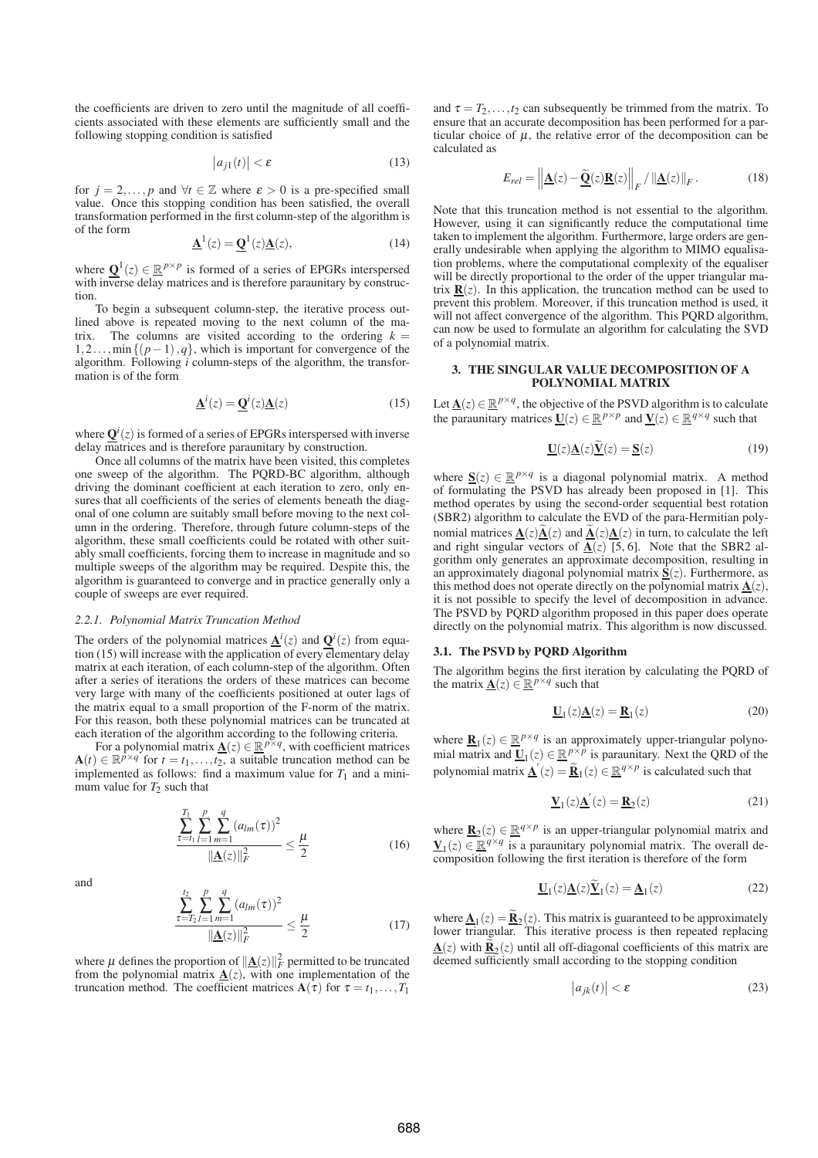the coefficients are driven to zero until the magnitude of all coefficients associated with these elements are sufficiently small and the following stopping condition is satisfied

$$
\left|a_{j1}(t)\right| < \varepsilon \tag{13}
$$

for  $j = 2, ..., p$  and  $\forall t \in \mathbb{Z}$  where  $\varepsilon > 0$  is a pre-specified small value. Once this stopping condition has been satisfied, the overall transformation performed in the first column-step of the algorithm is of the form

$$
\underline{\mathbf{A}}^1(z) = \underline{\mathbf{Q}}^1(z)\underline{\mathbf{A}}(z),\tag{14}
$$

where  $\mathbf{Q}^1(z) \in \mathbb{R}^{p \times p}$  is formed of a series of EPGRs interspersed with inverse delay matrices and is therefore paraunitary by construction.

To begin a subsequent column-step, the iterative process outlined above is repeated moving to the next column of the matrix. The columns are visited according to the ordering  $k =$ 1,2...,min{(*p*−1),*q*}, which is important for convergence of the algorithm. Following *i* column-steps of the algorithm, the transformation is of the form

$$
\underline{\mathbf{A}}^i(z) = \underline{\mathbf{Q}}^i(z)\underline{\mathbf{A}}(z)
$$
 (15)

where  $\mathbf{Q}^i(z)$  is formed of a series of EPGRs interspersed with inverse delay matrices and is therefore paraunitary by construction.

Once all columns of the matrix have been visited, this completes one sweep of the algorithm. The PQRD-BC algorithm, although driving the dominant coefficient at each iteration to zero, only ensures that all coefficients of the series of elements beneath the diagonal of one column are suitably small before moving to the next column in the ordering. Therefore, through future column-steps of the algorithm, these small coefficients could be rotated with other suitably small coefficients, forcing them to increase in magnitude and so multiple sweeps of the algorithm may be required. Despite this, the algorithm is guaranteed to converge and in practice generally only a couple of sweeps are ever required.

#### *2.2.1. Polynomial Matrix Truncation Method*

The orders of the polynomial matrices  $\underline{A}^i(z)$  and  $\underline{Q}^i(z)$  from equation (15) will increase with the application of every elementary delay matrix at each iteration, of each column-step of the algorithm. Often after a series of iterations the orders of these matrices can become very large with many of the coefficients positioned at outer lags of the matrix equal to a small proportion of the F-norm of the matrix. For this reason, both these polynomial matrices can be truncated at

each iteration of the algorithm according to the following criteria.<br>For a polynomial matrix  $\underline{\mathbf{A}}(z) \in \mathbb{R}^{p \times q}$ , with coefficient matrices  $\mathbf{A}(t) \in \mathbb{R}^{p \times q}$  for  $t = t_1, \ldots, t_2$ , a suitable truncation method can be implemented as follows: find a maximum value for  $T_1$  and a minimum value for  $T_2$  such that

$$
\frac{\sum_{\tau=t_1}^{T_1} \sum_{l=1}^{p} \sum_{m=1}^{q} (a_{lm}(\tau))^2}{\|\underline{\mathbf{A}}(z)\|_F^2} \le \frac{\mu}{2}
$$
(16)

and

$$
\frac{\sum_{\tau=T_2}^{t_2} \sum_{l=1}^p \sum_{m=1}^q (a_{lm}(\tau))^2}{\|\underline{\mathbf{A}}(z)\|_F^2} \le \frac{\mu}{2}
$$
(17)

where  $\mu$  defines the proportion of  $\|\mathbf{A}(z)\|_F^2$  permitted to be truncated from the polynomial matrix  $\underline{A}(z)$ , with one implementation of the truncation method. The coefficient matrices  $A(\tau)$  for  $\tau = t_1, \ldots, T_1$ 

*p*

*q*

and  $\tau = T_2, \ldots, T_2$  can subsequently be trimmed from the matrix. To ensure that an accurate decomposition has been performed for a particular choice of  $\mu$ , the relative error of the decomposition can be calculated as

$$
E_{rel} = \left\| \underline{\mathbf{A}}(z) - \underline{\widetilde{\mathbf{Q}}}(z) \underline{\mathbf{R}}(z) \right\|_F / \left\| \underline{\mathbf{A}}(z) \right\|_F.
$$
 (18)

Note that this truncation method is not essential to the algorithm. However, using it can significantly reduce the computational time taken to implement the algorithm. Furthermore, large orders are generally undesirable when applying the algorithm to MIMO equalisation problems, where the computational complexity of the equaliser will be directly proportional to the order of the upper triangular matrix  $\mathbf{R}(z)$ . In this application, the truncation method can be used to prevent this problem. Moreover, if this truncation method is used, it will not affect convergence of the algorithm. This PQRD algorithm, can now be used to formulate an algorithm for calculating the SVD of a polynomial matrix.

## **3. THE SINGULAR VALUE DECOMPOSITION OF A POLYNOMIAL MATRIX**

Let  $\underline{\mathbf{A}}(z) \in \mathbb{R}^{p \times q}$ , the objective of the PSVD algorithm is to calculate the paraunitary matrices  $\underline{\mathbf{U}}(z) \in \mathbb{R}^{p \times p}$  and  $\underline{\mathbf{V}}(z) \in \mathbb{R}^{q \times q}$  such that

$$
\underline{\mathbf{U}}(z)\underline{\mathbf{A}}(z)\underline{\mathbf{V}}(z) = \underline{\mathbf{S}}(z)
$$
 (19)

where  $S(z) \in \mathbb{R}^{p \times q}$  is a diagonal polynomial matrix. A method of formulating the PSVD has already been proposed in [1]. This method operates by using the second-order sequential best rotation (SBR2) algorithm to calculate the EVD of the para-Hermitian polynomial matrices  $\underline{\mathbf{A}}(z)\underline{\mathbf{A}}(z)$  and  $\underline{\mathbf{A}}(z)\underline{\mathbf{A}}(z)$  in turn, to calculate the left and right singular vectors of  $\underline{A}(z)$  [5, 6]. Note that the SBR2 algorithm only generates an approximate decomposition, resulting in an approximately diagonal polynomial matrix **S**(*z*). Furthermore, as this method does not operate directly on the polynomial matrix  $A(z)$ , it is not possible to specify the level of decomposition in advance. The PSVD by PQRD algorithm proposed in this paper does operate directly on the polynomial matrix. This algorithm is now discussed.

# **3.1. The PSVD by PQRD Algorithm**

The algorithm begins the first iteration by calculating the PQRD of the matrix  $\underline{\mathbf{A}}(z) \in \mathbb{R}^{p \times q}$  such that

$$
\underline{\mathbf{U}}_1(z)\underline{\mathbf{A}}(z) = \underline{\mathbf{R}}_1(z) \tag{20}
$$

where  $\underline{\mathbf{R}}_1(z) \in \underline{\mathbb{R}}^{p \times q}$  is an approximately upper-triangular polynomial matrix and  $\underline{\mathbf{U}}_1(z) \in \mathbb{R}^{p \times p}$  is paraunitary. Next the QRD of the polynomial matrix  $\underline{\mathbf{A}}'(z) = \underline{\mathbf{R}}_1(z) \in \mathbb{R}^{q \times p}$  is calculated such that

$$
\mathbf{\underline{V}}_1(z)\mathbf{\underline{A}}'(z) = \mathbf{\underline{R}}_2(z)
$$
 (21)

where  $\underline{\mathbf{R}}_2(z) \in \underline{\mathbb{R}}^{q \times p}$  is an upper-triangular polynomial matrix and  $\mathbf{V}_1(z) \in \mathbb{R}^{q \times q}$  is a paraunitary polynomial matrix. The overall decomposition following the first iteration is therefore of the form

$$
\underline{\mathbf{U}}_1(z)\underline{\mathbf{A}}(z)\widetilde{\underline{\mathbf{V}}}_1(z) = \underline{\mathbf{A}}_1(z)
$$
 (22)

where  $\underline{\mathbf{A}}_1(z) = \underline{\mathbf{R}}_2(z)$ . This matrix is guaranteed to be approximately lower triangular. This iterative process is then repeated replacing  $\underline{\mathbf{A}}(z)$  with  $\underline{\mathbf{R}}_2(z)$  until all off-diagonal coefficients of this matrix are deemed sufficiently small according to the stopping condition

$$
\left| a_{jk}(t) \right| < \varepsilon \tag{23}
$$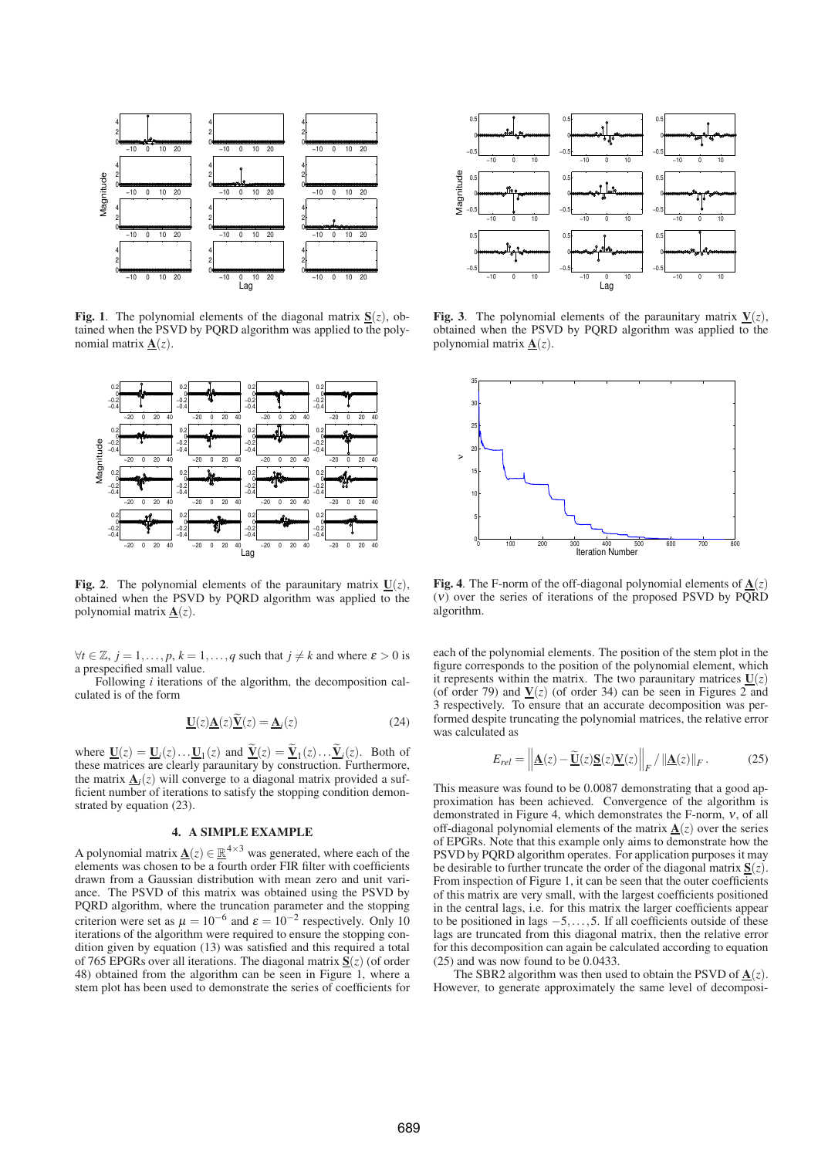

**Fig. 1**. The polynomial elements of the diagonal matrix  $S(z)$ , obtained when the PSVD by PQRD algorithm was applied to the polynomial matrix  $\mathbf{A}(z)$ .



**Fig. 2.** The polynomial elements of the paraunitary matrix  $U(z)$ , obtained when the PSVD by PQRD algorithm was applied to the polynomial matrix  $\underline{\mathbf{A}}(z)$ .

 $∀*t* ∈ Z, *j* = 1, ..., *p*, *k* = 1, ..., *q* such that *j* ≠ *k* and where  $\varepsilon > 0$  is$ a prespecified small value.

Following *i* iterations of the algorithm, the decomposition calculated is of the form

$$
\underline{\mathbf{U}}(z)\underline{\mathbf{A}}(z)\widetilde{\underline{\mathbf{V}}}(z) = \underline{\mathbf{A}}_i(z) \tag{24}
$$

where  $\underline{\mathbf{U}}(z) = \underline{\mathbf{U}}_i(z) \dots \underline{\mathbf{U}}_1(z)$  and  $\underline{\mathbf{V}}(z) = \underline{\mathbf{V}}_1(z) \dots \underline{\mathbf{V}}_i(z)$ . Both of these matrices are clearly paraunitary by construction. Furthermore, the matrix  $\underline{\mathbf{A}}_i(z)$  will converge to a diagonal matrix provided a sufficient number of iterations to satisfy the stopping condition demonstrated by equation (23).

# **4. A SIMPLE EXAMPLE**

A polynomial matrix  $\underline{A}(z) \in \mathbb{R}^{4 \times 3}$  was generated, where each of the elements was chosen to be a fourth order FIR filter with coefficients drawn from a Gaussian distribution with mean zero and unit variance. The PSVD of this matrix was obtained using the PSVD by PQRD algorithm, where the truncation parameter and the stopping criterion were set as  $\mu = 10^{-6}$  and  $\varepsilon = 10^{-2}$  respectively. Only 10 iterations of the algorithm were required to ensure the stopping condition given by equation (13) was satisfied and this required a total of 765 EPGRs over all iterations. The diagonal matrix **S**(*z*) (of order 48) obtained from the algorithm can be seen in Figure 1, where a stem plot has been used to demonstrate the series of coefficients for



**Fig. 3**. The polynomial elements of the paraunitary matrix  $V(z)$ , obtained when the PSVD by PQRD algorithm was applied to the polynomial matrix  $A(z)$ .



**Fig. 4**. The F-norm of the off-diagonal polynomial elements of  $A(z)$ (ν) over the series of iterations of the proposed PSVD by PQRD algorithm.

each of the polynomial elements. The position of the stem plot in the figure corresponds to the position of the polynomial element, which it represents within the matrix. The two paraunitary matrices  $U(z)$ (of order 79) and  $\underline{V}(z)$  (of order 34) can be seen in Figures 2 and 3 respectively. To ensure that an accurate decomposition was performed despite truncating the polynomial matrices, the relative error was calculated as

$$
E_{rel} = \left\| \underline{\mathbf{A}}(z) - \underline{\widetilde{\mathbf{U}}}(z) \underline{\mathbf{S}}(z) \underline{\mathbf{V}}(z) \right\|_F / \left\| \underline{\mathbf{A}}(z) \right\|_F. \tag{25}
$$

This measure was found to be 0.0087 demonstrating that a good approximation has been achieved. Convergence of the algorithm is demonstrated in Figure 4, which demonstrates the F-norm, <sup>ν</sup>, of all off-diagonal polynomial elements of the matrix  $\underline{A}(z)$  over the series of EPGRs. Note that this example only aims to demonstrate how the PSVD by PQRD algorithm operates. For application purposes it may be desirable to further truncate the order of the diagonal matrix  $S(z)$ . From inspection of Figure 1, it can be seen that the outer coefficients of this matrix are very small, with the largest coefficients positioned in the central lags, i.e. for this matrix the larger coefficients appear to be positioned in lags  $-5$ ,...,5. If all coefficients outside of these lags are truncated from this diagonal matrix, then the relative error for this decomposition can again be calculated according to equation (25) and was now found to be 0.0433.

The SBR2 algorithm was then used to obtain the PSVD of  $\mathbf{\underline{A}}(z)$ . However, to generate approximately the same level of decomposi-